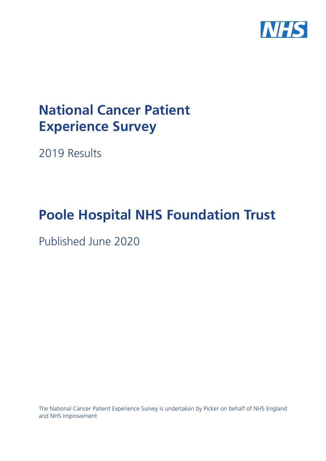

# **National Cancer Patient Experience Survey**

2019 Results

# **Poole Hospital NHS Foundation Trust**

Published June 2020

The National Cancer Patient Experience Survey is undertaken by Picker on behalf of NHS England and NHS Improvement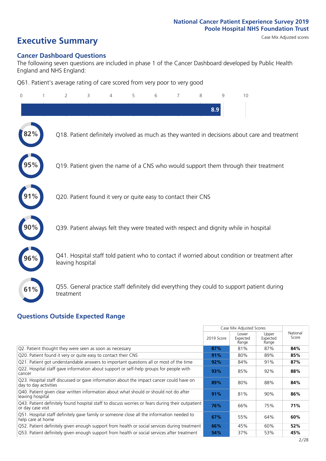# **Executive Summary** Case Mix Adjusted scores

### **Cancer Dashboard Questions**

The following seven questions are included in phase 1 of the Cancer Dashboard developed by Public Health England and NHS England:

Q61. Patient's average rating of care scored from very poor to very good

| $\Omega$ | 2                                                             | 3 | 4 | 5 | 6 | 8 | g   | 10                                                                                            |
|----------|---------------------------------------------------------------|---|---|---|---|---|-----|-----------------------------------------------------------------------------------------------|
|          |                                                               |   |   |   |   |   | 8.9 |                                                                                               |
|          |                                                               |   |   |   |   |   |     | Q18. Patient definitely involved as much as they wanted in decisions about care and treatment |
|          |                                                               |   |   |   |   |   |     | Q19. Patient given the name of a CNS who would support them through their treatment           |
|          | Q20. Patient found it very or quite easy to contact their CNS |   |   |   |   |   |     |                                                                                               |
|          |                                                               |   |   |   |   |   |     | Q39. Patient always felt they were treated with respect and dignity while in hospital         |
|          | leaving hospital                                              |   |   |   |   |   |     | Q41. Hospital staff told patient who to contact if worried about condition or treatment after |
| 61%      | treatment                                                     |   |   |   |   |   |     | Q55. General practice staff definitely did everything they could to support patient during    |

### **Questions Outside Expected Range**

|                                                                                                                       |            | Case Mix Adjusted Scores   |                            |                   |
|-----------------------------------------------------------------------------------------------------------------------|------------|----------------------------|----------------------------|-------------------|
|                                                                                                                       | 2019 Score | Lower<br>Expected<br>Range | Upper<br>Expected<br>Range | National<br>Score |
| Q2. Patient thought they were seen as soon as necessary                                                               | 87%        | 81%                        | 87%                        | 84%               |
| Q20. Patient found it very or quite easy to contact their CNS                                                         | 91%        | 80%                        | 89%                        | 85%               |
| Q21. Patient got understandable answers to important questions all or most of the time                                | 92%        | 84%                        | 91%                        | 87%               |
| Q22. Hospital staff gave information about support or self-help groups for people with<br>cancer                      | 93%        | 85%                        | 92%                        | 88%               |
| Q23. Hospital staff discussed or gave information about the impact cancer could have on<br>day to day activities      | 89%        | 80%                        | 88%                        | 84%               |
| Q40. Patient given clear written information about what should or should not do after<br>leaving hospital             | 91%        | 81%                        | 90%                        | 86%               |
| Q43. Patient definitely found hospital staff to discuss worries or fears during their outpatient<br>or day case visit | 76%        | 66%                        | 75%                        | 71%               |
| Q51. Hospital staff definitely gave family or someone close all the information needed to<br>help care at home        | 67%        | 55%                        | 64%                        | 60%               |
| Q52. Patient definitely given enough support from health or social services during treatment                          | 66%        | 45%                        | 60%                        | 52%               |
| Q53. Patient definitely given enough support from health or social services after treatment                           | 54%        | 37%                        | 53%                        | 45%               |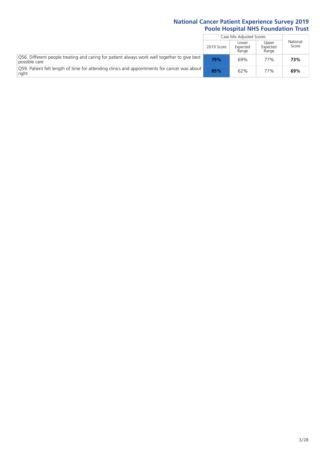|                                                                                                               |            | Case Mix Adjusted Scores   |                            |                   |
|---------------------------------------------------------------------------------------------------------------|------------|----------------------------|----------------------------|-------------------|
|                                                                                                               | 2019 Score | Lower<br>Expected<br>Range | Upper<br>Expected<br>Range | National<br>Score |
| Q56. Different people treating and caring for patient always work well together to give best<br>possible care | 79%        | 69%                        | 77%                        | 73%               |
| O59. Patient felt length of time for attending clinics and appointments for cancer was about<br>right         | 85%        | 62%                        | 77%                        | 69%               |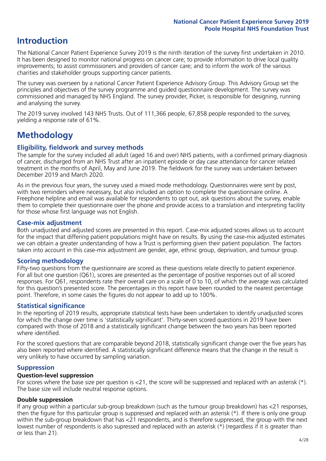# **Introduction**

The National Cancer Patient Experience Survey 2019 is the ninth iteration of the survey first undertaken in 2010. It has been designed to monitor national progress on cancer care; to provide information to drive local quality improvements; to assist commissioners and providers of cancer care; and to inform the work of the various charities and stakeholder groups supporting cancer patients.

The survey was overseen by a national Cancer Patient Experience Advisory Group. This Advisory Group set the principles and objectives of the survey programme and guided questionnaire development. The survey was commissioned and managed by NHS England. The survey provider, Picker, is responsible for designing, running and analysing the survey.

The 2019 survey involved 143 NHS Trusts. Out of 111,366 people, 67,858 people responded to the survey, yielding a response rate of 61%.

# **Methodology**

### **Eligibility, eldwork and survey methods**

The sample for the survey included all adult (aged 16 and over) NHS patients, with a confirmed primary diagnosis of cancer, discharged from an NHS Trust after an inpatient episode or day case attendance for cancer related treatment in the months of April, May and June 2019. The fieldwork for the survey was undertaken between December 2019 and March 2020.

As in the previous four years, the survey used a mixed mode methodology. Questionnaires were sent by post, with two reminders where necessary, but also included an option to complete the questionnaire online. A Freephone helpline and email was available for respondents to opt out, ask questions about the survey, enable them to complete their questionnaire over the phone and provide access to a translation and interpreting facility for those whose first language was not English.

### **Case-mix adjustment**

Both unadjusted and adjusted scores are presented in this report. Case-mix adjusted scores allows us to account for the impact that differing patient populations might have on results. By using the case-mix adjusted estimates we can obtain a greater understanding of how a Trust is performing given their patient population. The factors taken into account in this case-mix adjustment are gender, age, ethnic group, deprivation, and tumour group.

### **Scoring methodology**

Fifty-two questions from the questionnaire are scored as these questions relate directly to patient experience. For all but one question (Q61), scores are presented as the percentage of positive responses out of all scored responses. For Q61, respondents rate their overall care on a scale of 0 to 10, of which the average was calculated for this question's presented score. The percentages in this report have been rounded to the nearest percentage point. Therefore, in some cases the figures do not appear to add up to 100%.

### **Statistical significance**

In the reporting of 2019 results, appropriate statistical tests have been undertaken to identify unadjusted scores for which the change over time is 'statistically significant'. Thirty-seven scored questions in 2019 have been compared with those of 2018 and a statistically significant change between the two years has been reported where identified.

For the scored questions that are comparable beyond 2018, statistically significant change over the five years has also been reported where identified. A statistically significant difference means that the change in the result is very unlikely to have occurred by sampling variation.

### **Suppression**

### **Question-level suppression**

For scores where the base size per question is  $<$ 21, the score will be suppressed and replaced with an asterisk (\*). The base size will include neutral response options.

### **Double suppression**

If any group within a particular sub-group breakdown (such as the tumour group breakdown) has <21 responses, then the figure for this particular group is suppressed and replaced with an asterisk (\*). If there is only one group within the sub-group breakdown that has <21 respondents, and is therefore suppressed, the group with the next lowest number of respondents is also supressed and replaced with an asterisk (\*) (regardless if it is greater than or less than 21).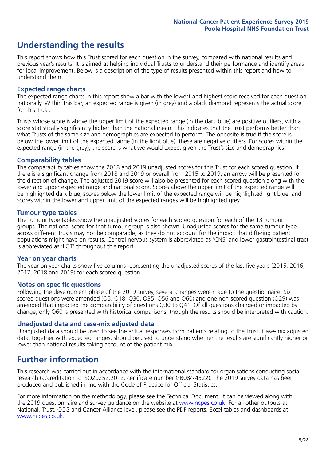# **Understanding the results**

This report shows how this Trust scored for each question in the survey, compared with national results and previous year's results. It is aimed at helping individual Trusts to understand their performance and identify areas for local improvement. Below is a description of the type of results presented within this report and how to understand them.

### **Expected range charts**

The expected range charts in this report show a bar with the lowest and highest score received for each question nationally. Within this bar, an expected range is given (in grey) and a black diamond represents the actual score for this Trust.

Trusts whose score is above the upper limit of the expected range (in the dark blue) are positive outliers, with a score statistically significantly higher than the national mean. This indicates that the Trust performs better than what Trusts of the same size and demographics are expected to perform. The opposite is true if the score is below the lower limit of the expected range (in the light blue); these are negative outliers. For scores within the expected range (in the grey), the score is what we would expect given the Trust's size and demographics.

### **Comparability tables**

The comparability tables show the 2018 and 2019 unadjusted scores for this Trust for each scored question. If there is a significant change from 2018 and 2019 or overall from 2015 to 2019, an arrow will be presented for the direction of change. The adjusted 2019 score will also be presented for each scored question along with the lower and upper expected range and national score. Scores above the upper limit of the expected range will be highlighted dark blue, scores below the lower limit of the expected range will be highlighted light blue, and scores within the lower and upper limit of the expected ranges will be highlighted grey.

### **Tumour type tables**

The tumour type tables show the unadjusted scores for each scored question for each of the 13 tumour groups. The national score for that tumour group is also shown. Unadjusted scores for the same tumour type across different Trusts may not be comparable, as they do not account for the impact that differing patient populations might have on results. Central nervous system is abbreviated as 'CNS' and lower gastrointestinal tract is abbreviated as 'LGT' throughout this report.

### **Year on year charts**

The year on year charts show five columns representing the unadjusted scores of the last five years (2015, 2016, 2017, 2018 and 2019) for each scored question.

### **Notes on specific questions**

Following the development phase of the 2019 survey, several changes were made to the questionnaire. Six scored questions were amended (Q5, Q18, Q30, Q35, Q56 and Q60) and one non-scored question (Q29) was amended that impacted the comparability of questions Q30 to Q41. Of all questions changed or impacted by change, only Q60 is presented with historical comparisons; though the results should be interpreted with caution.

### **Unadjusted data and case-mix adjusted data**

Unadjusted data should be used to see the actual responses from patients relating to the Trust. Case-mix adjusted data, together with expected ranges, should be used to understand whether the results are significantly higher or lower than national results taking account of the patient mix.

### **Further information**

This research was carried out in accordance with the international standard for organisations conducting social research (accreditation to ISO20252:2012; certificate number GB08/74322). The 2019 survey data has been produced and published in line with the Code of Practice for Official Statistics.

For more information on the methodology, please see the Technical Document. It can be viewed along with the 2019 questionnaire and survey quidance on the website at [www.ncpes.co.uk](https://www.ncpes.co.uk/supporting-documents). For all other outputs at National, Trust, CCG and Cancer Alliance level, please see the PDF reports, Excel tables and dashboards at [www.ncpes.co.uk.](https://www.ncpes.co.uk/current-results)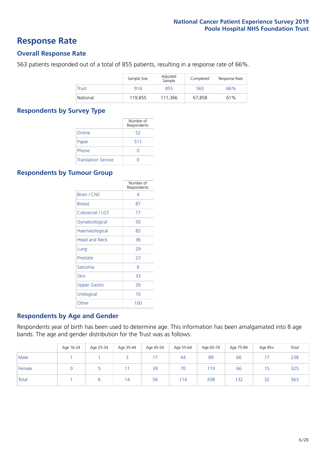### **Response Rate**

### **Overall Response Rate**

563 patients responded out of a total of 855 patients, resulting in a response rate of 66%.

|              | Sample Size | Adjusted<br>Sample | Completed | Response Rate |
|--------------|-------------|--------------------|-----------|---------------|
| <b>Trust</b> | 914         | 855                | 563       | 66%           |
| National     | 119,855     | 111.366            | 67.858    | 61%           |

### **Respondents by Survey Type**

|                            | Number of<br>Respondents |
|----------------------------|--------------------------|
| Online                     | 52                       |
| Paper                      | 511                      |
| Phone                      |                          |
| <b>Translation Service</b> |                          |

### **Respondents by Tumour Group**

|                      | Number of<br>Respondents |
|----------------------|--------------------------|
| <b>Brain / CNS</b>   | 4                        |
| <b>Breast</b>        | 87                       |
| Colorectal / LGT     | 77                       |
| Gynaecological       | 50                       |
| Haematological       | 82                       |
| <b>Head and Neck</b> | 36                       |
| Lung                 | 29                       |
| Prostate             | 23                       |
| Sarcoma              | հ                        |
| Skin                 | 33                       |
| Upper Gastro         | 26                       |
| Urological           | 10                       |
| Other                | 100                      |

### **Respondents by Age and Gender**

Respondents year of birth has been used to determine age. This information has been amalgamated into 8 age bands. The age and gender distribution for the Trust was as follows:

|        | Age 16-24 | Age 25-34 | Age 35-44 | Age 45-54 | Age 55-64 | Age 65-74 | Age 75-84 | Age 85+ | Total |
|--------|-----------|-----------|-----------|-----------|-----------|-----------|-----------|---------|-------|
| Male   |           |           |           |           | 44        | 89        | 66        |         | 238   |
| Female |           |           |           | 39        | 70        | 119       | 66        | 15      | 325   |
| Total  |           |           | 14        | 56        | 114       | 208       | 132       | 32      | 563   |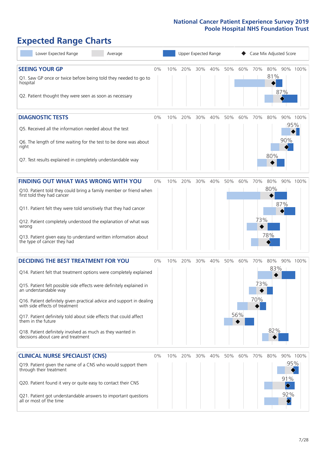# **Expected Range Charts**

| Lower Expected Range<br>Average                                                                                                                                                                                                                                                                                                                                                                                                                                                                                             |       |     | Upper Expected Range |     |     |     | Case Mix Adjusted Score |                   |                   |                                      |          |  |
|-----------------------------------------------------------------------------------------------------------------------------------------------------------------------------------------------------------------------------------------------------------------------------------------------------------------------------------------------------------------------------------------------------------------------------------------------------------------------------------------------------------------------------|-------|-----|----------------------|-----|-----|-----|-------------------------|-------------------|-------------------|--------------------------------------|----------|--|
| <b>SEEING YOUR GP</b><br>Q1. Saw GP once or twice before being told they needed to go to<br>hospital<br>Q2. Patient thought they were seen as soon as necessary                                                                                                                                                                                                                                                                                                                                                             | 0%    | 10% | 20%                  | 30% | 40% | 50% | 60%                     | 70%               | 80%<br>81%        | 87%                                  | 90% 100% |  |
| <b>DIAGNOSTIC TESTS</b><br>Q5. Received all the information needed about the test<br>Q6. The length of time waiting for the test to be done was about<br>right<br>Q7. Test results explained in completely understandable way                                                                                                                                                                                                                                                                                               | $0\%$ | 10% | 20%                  | 30% | 40% | 50% | 60%                     | 70%               | 80%<br>80%        | 95%<br>90%                           | 90% 100% |  |
| <b>FINDING OUT WHAT WAS WRONG WITH YOU</b><br>Q10. Patient told they could bring a family member or friend when<br>first told they had cancer<br>Q11. Patient felt they were told sensitively that they had cancer<br>Q12. Patient completely understood the explanation of what was<br>wrong<br>Q13. Patient given easy to understand written information about<br>the type of cancer they had                                                                                                                             | 0%    | 10% | 20%                  | 30% | 40% | 50% | 60%                     | 70%<br>73%        | 80%<br>80%<br>78% | 87%                                  | 90% 100% |  |
| <b>DECIDING THE BEST TREATMENT FOR YOU</b><br>Q14. Patient felt that treatment options were completely explained<br>Q15. Patient felt possible side effects were definitely explained in<br>an understandable way<br>Q16. Patient definitely given practical advice and support in dealing<br>with side effects of treatment<br>Q17. Patient definitely told about side effects that could affect<br>them in the future<br>Q18. Patient definitely involved as much as they wanted in<br>decisions about care and treatment | 0%    | 10% | 20%                  | 30% | 40% | 50% | 60%<br>56%              | 70%<br>73%<br>70% | 80%<br>83%<br>82% |                                      | 90% 100% |  |
| <b>CLINICAL NURSE SPECIALIST (CNS)</b><br>Q19. Patient given the name of a CNS who would support them<br>through their treatment<br>Q20. Patient found it very or quite easy to contact their CNS<br>Q21. Patient got understandable answers to important questions<br>all or most of the time                                                                                                                                                                                                                              | 0%    | 10% | 20%                  | 30% | 40% | 50% | 60%                     | 70%               | 80%               | 95%<br>91%<br>$\blacklozenge$<br>92% | 90% 100% |  |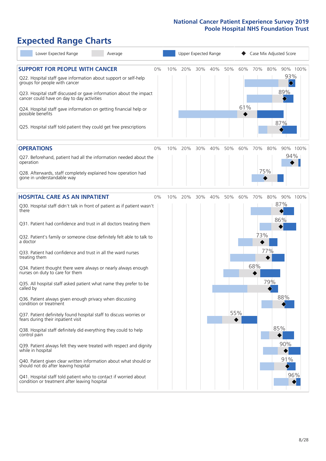# **Expected Range Charts**

| Lower Expected Range<br>Average                                                                                   |    |     | Upper Expected Range |     |     |     |     |     |     | Case Mix Adjusted Score |  |
|-------------------------------------------------------------------------------------------------------------------|----|-----|----------------------|-----|-----|-----|-----|-----|-----|-------------------------|--|
| <b>SUPPORT FOR PEOPLE WITH CANCER</b><br>Q22. Hospital staff gave information about support or self-help          | 0% | 10% | 20%                  | 30% | 40% | 50% | 60% | 70% | 80% | 90% 100%<br>93%         |  |
| groups for people with cancer<br>Q23. Hospital staff discussed or gave information about the impact               |    |     |                      |     |     |     |     |     |     | 89%                     |  |
| cancer could have on day to day activities                                                                        |    |     |                      |     |     |     | 61% |     |     |                         |  |
| Q24. Hospital staff gave information on getting financial help or<br>possible benefits                            |    |     |                      |     |     |     |     |     |     | 87%                     |  |
| Q25. Hospital staff told patient they could get free prescriptions                                                |    |     |                      |     |     |     |     |     |     |                         |  |
| <b>OPERATIONS</b>                                                                                                 | 0% | 10% | 20%                  | 30% | 40% | 50% | 60% | 70% | 80% | 90% 100%                |  |
| Q27. Beforehand, patient had all the information needed about the<br>operation                                    |    |     |                      |     |     |     |     |     |     | 94%                     |  |
| Q28. Afterwards, staff completely explained how operation had<br>gone in understandable way                       |    |     |                      |     |     |     |     |     | 75% |                         |  |
| <b>HOSPITAL CARE AS AN INPATIENT</b>                                                                              | 0% | 10% | 20%                  | 30% | 40% | 50% | 60% | 70% | 80% | 90% 100%                |  |
| Q30. Hospital staff didn't talk in front of patient as if patient wasn't<br>there                                 |    |     |                      |     |     |     |     |     |     | 87%<br>86%              |  |
| Q31. Patient had confidence and trust in all doctors treating them                                                |    |     |                      |     |     |     |     |     |     |                         |  |
| Q32. Patient's family or someone close definitely felt able to talk to<br>a doctor                                |    |     |                      |     |     |     |     | 73% |     |                         |  |
| Q33. Patient had confidence and trust in all the ward nurses<br>treating them                                     |    |     |                      |     |     |     |     |     | 77% |                         |  |
| Q34. Patient thought there were always or nearly always enough<br>nurses on duty to care for them                 |    |     |                      |     |     |     |     | 68% |     |                         |  |
| Q35. All hospital staff asked patient what name they prefer to be<br>called by                                    |    |     |                      |     |     |     |     |     | 79% |                         |  |
| Q36. Patient always given enough privacy when discussing<br>condition or treatment                                |    |     |                      |     |     |     |     |     |     | 88%                     |  |
| Q37. Patient definitely found hospital staff to discuss worries or<br>fears during their inpatient visit          |    |     |                      |     |     |     | 55% |     |     |                         |  |
| Q38. Hospital staff definitely did everything they could to help<br>control pain                                  |    |     |                      |     |     |     |     |     |     | 85%                     |  |
| Q39. Patient always felt they were treated with respect and dignity<br>while in hospital                          |    |     |                      |     |     |     |     |     |     | 90%                     |  |
| Q40. Patient given clear written information about what should or<br>should not do after leaving hospital         |    |     |                      |     |     |     |     |     |     | 91%                     |  |
| Q41. Hospital staff told patient who to contact if worried about<br>condition or treatment after leaving hospital |    |     |                      |     |     |     |     |     |     | 96%                     |  |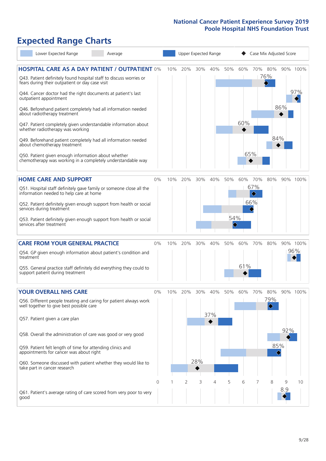# **Expected Range Charts**

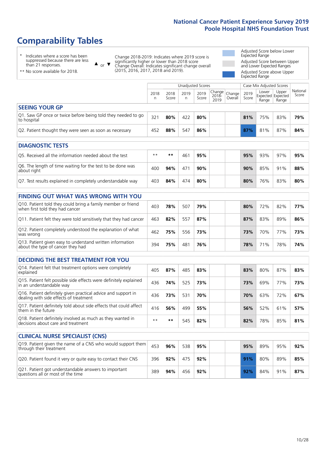# **Comparability Tables**

\* Indicates where a score has been suppressed because there are less than 21 responses.

\*\* No score available for 2018.

 $\triangle$  or  $\nabla$ 

Change 2018-2019: Indicates where 2019 score is significantly higher or lower than 2018 score Change Overall: Indicates significant change overall (2015, 2016, 2017, 2018 and 2019).

Adjusted Score below Lower Expected Range Adjusted Score between Upper and Lower Expected Ranges Adjusted Score above Upper Expected Range

|                                                                             | Case Mix Adjusted Scores<br>Unadjusted Scores |               |           |               |                                                       |         |               |                                            |                |                   |
|-----------------------------------------------------------------------------|-----------------------------------------------|---------------|-----------|---------------|-------------------------------------------------------|---------|---------------|--------------------------------------------|----------------|-------------------|
|                                                                             | 2018<br>n                                     | 2018<br>Score | 2019<br>n | 2019<br>Score | $\sim$   Change   Change   $\sim$<br>$2018 -$<br>2019 | Overall | 2019<br>Score | Lower<br><b>Expected Expected</b><br>Range | Upper<br>Range | National<br>Score |
| <b>SEEING YOUR GP</b>                                                       |                                               |               |           |               |                                                       |         |               |                                            |                |                   |
| Q1. Saw GP once or twice before being told they needed to go<br>to hospital | 321                                           | 80%           | 422       | 80%           |                                                       |         | 81%           | 75%                                        | 83%            | 79%               |
| Q2. Patient thought they were seen as soon as necessary                     | 452                                           | 88%           | 547       | 86%           |                                                       |         | 87%           | 81%                                        | 87%            | 84%               |
|                                                                             |                                               |               |           |               |                                                       |         |               |                                            |                |                   |

| <b>DIAGNOSTIC TESTS</b>                                                   |      |     |     |     |  |     |     |     |     |
|---------------------------------------------------------------------------|------|-----|-----|-----|--|-----|-----|-----|-----|
| O5. Received all the information needed about the test                    | $**$ | **  | 461 | 95% |  | 95% | 93% | 97% | 95% |
| Q6. The length of time waiting for the test to be done was<br>about right | 400  | 94% | 471 | 90% |  | 90% | 85% | 91% | 88% |
| Q7. Test results explained in completely understandable way               | 403  | 84% | 474 | 80% |  | 80% | 76% | 83% | 80% |

| <b>FINDING OUT WHAT WAS WRONG WITH YOU</b>                                                      |     |     |     |     |     |     |     |     |
|-------------------------------------------------------------------------------------------------|-----|-----|-----|-----|-----|-----|-----|-----|
| Q10. Patient told they could bring a family member or friend<br>when first told they had cancer | 403 | 78% | 507 | 79% | 80% | 72% | 82% | 77% |
| Q11. Patient felt they were told sensitively that they had cancer                               | 463 | 82% | 557 | 87% | 87% | 83% | 89% | 86% |
| Q12. Patient completely understood the explanation of what<br>was wrong                         | 462 | 75% | 556 | 73% | 73% | 70% | 77% | 73% |
| Q13. Patient given easy to understand written information<br>about the type of cancer they had  | 394 | 75% | 481 | 76% | 78% | 71% | 78% | 74% |

| <b>DECIDING THE BEST TREATMENT FOR YOU</b>                                                              |      |     |     |     |     |     |     |     |
|---------------------------------------------------------------------------------------------------------|------|-----|-----|-----|-----|-----|-----|-----|
| Q14. Patient felt that treatment options were completely<br>explained                                   | 405  | 87% | 485 | 83% | 83% | 80% | 87% | 83% |
| Q15. Patient felt possible side effects were definitely explained<br>in an understandable way           | 436  | 74% | 525 | 73% | 73% | 69% | 77% | 73% |
| Q16. Patient definitely given practical advice and support in<br>dealing with side effects of treatment | 436  | 73% | 531 | 70% | 70% | 63% | 72% | 67% |
| Q17. Patient definitely told about side effects that could affect<br>them in the future                 | 416  | 56% | 499 | 55% | 56% | 52% | 61% | 57% |
| Q18. Patient definitely involved as much as they wanted in<br>decisions about care and treatment        | $**$ | **  | 545 | 82% | 82% | 78% | 85% | 81% |

| <b>CLINICAL NURSE SPECIALIST (CNS)</b>                                                    |     |     |     |     |     |     |     |     |
|-------------------------------------------------------------------------------------------|-----|-----|-----|-----|-----|-----|-----|-----|
| Q19. Patient given the name of a CNS who would support them<br>through their treatment    | 453 | 96% | 538 | 95% | 95% | 89% | 95% | 92% |
| Q20. Patient found it very or quite easy to contact their CNS                             | 396 | 92% | 475 | 92% | 91% | 80% | 89% | 85% |
| Q21. Patient got understandable answers to important<br>questions all or most of the time | 389 | 94% | 456 | 92% | 92% | 84% | 91% | 87% |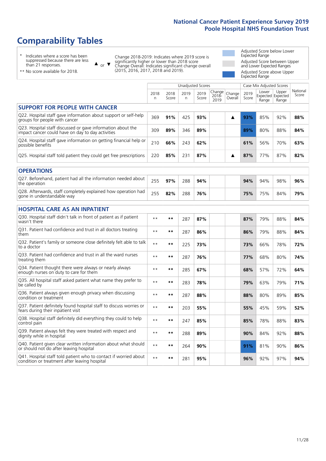# **Comparability Tables**

\* Indicates where a score has been suppressed because there are less than 21 responses.

\*\* No score available for 2018.

 $\triangle$  or  $\nabla$ 

Change 2018-2019: Indicates where 2019 score is significantly higher or lower than 2018 score Change Overall: Indicates significant change overall (2015, 2016, 2017, 2018 and 2019).

Adjusted Score below Lower Expected Range Adjusted Score between Upper and Lower Expected Ranges Adjusted Score above Upper Expected Range

|                                                                                                                   |              |               | Unadjusted Scores |               |                         |                   |               | Case Mix Adjusted Scores            |                |                   |
|-------------------------------------------------------------------------------------------------------------------|--------------|---------------|-------------------|---------------|-------------------------|-------------------|---------------|-------------------------------------|----------------|-------------------|
|                                                                                                                   | 2018<br>n    | 2018<br>Score | 2019<br>n         | 2019<br>Score | Change<br>2018-<br>2019 | Change<br>Overall | 2019<br>Score | Lower<br>Expected Expected<br>Range | Upper<br>Range | National<br>Score |
| <b>SUPPORT FOR PEOPLE WITH CANCER</b>                                                                             |              |               |                   |               |                         |                   |               |                                     |                |                   |
| Q22. Hospital staff gave information about support or self-help<br>groups for people with cancer                  | 369          | 91%           | 425               | 93%           |                         | ▲                 | 93%           | 85%                                 | 92%            | 88%               |
| Q23. Hospital staff discussed or gave information about the<br>impact cancer could have on day to day activities  | 309          | 89%           | 346               | 89%           |                         |                   | 89%           | 80%                                 | 88%            | 84%               |
| Q24. Hospital staff gave information on getting financial help or<br>possible benefits                            | 210          | 66%           | 243               | 62%           |                         |                   | 61%           | 56%                                 | 70%            | 63%               |
| Q25. Hospital staff told patient they could get free prescriptions                                                | 220          | 85%           | 231               | 87%           |                         | ▲                 | 87%           | 77%                                 | 87%            | 82%               |
| <b>OPERATIONS</b>                                                                                                 |              |               |                   |               |                         |                   |               |                                     |                |                   |
| Q27. Beforehand, patient had all the information needed about<br>the operation                                    | 255          | 97%           | 288               | 94%           |                         |                   | 94%           | 94%                                 | 98%            | 96%               |
| Q28. Afterwards, staff completely explained how operation had<br>gone in understandable way                       | 255          | 82%           | 288               | 76%           |                         |                   | 75%           | 75%                                 | 84%            | 79%               |
| <b>HOSPITAL CARE AS AN INPATIENT</b>                                                                              |              |               |                   |               |                         |                   |               |                                     |                |                   |
| Q30. Hospital staff didn't talk in front of patient as if patient<br>wasn't there                                 | $\star\star$ | $***$         | 287               | 87%           |                         |                   | 87%           | 79%                                 | 88%            | 84%               |
| Q31. Patient had confidence and trust in all doctors treating<br>them                                             | $\star\star$ | $***$         | 287               | 86%           |                         |                   | 86%           | 79%                                 | 88%            | 84%               |
| Q32. Patient's family or someone close definitely felt able to talk<br>to a doctor                                | $\star\star$ | $***$         | 225               | 73%           |                         |                   | 73%           | 66%                                 | 78%            | 72%               |
| Q33. Patient had confidence and trust in all the ward nurses<br>treating them                                     | $* *$        | **            | 287               | 76%           |                         |                   | 77%           | 68%                                 | 80%            | 74%               |
| Q34. Patient thought there were always or nearly always<br>enough nurses on duty to care for them                 | $**$         | $***$         | 285               | 67%           |                         |                   | 68%           | 57%                                 | 72%            | 64%               |
| Q35. All hospital staff asked patient what name they prefer to<br>be called by                                    | $**$         | $***$         | 283               | 78%           |                         |                   | 79%           | 63%                                 | 79%            | 71%               |
| Q36. Patient always given enough privacy when discussing<br>condition or treatment                                | $\star\star$ | $***$         | 287               | 88%           |                         |                   | 88%           | 80%                                 | 89%            | 85%               |
| Q37. Patient definitely found hospital staff to discuss worries or<br>fears during their inpatient visit          | $* *$        | $***$         | 203               | 55%           |                         |                   | 55%           | 45%                                 | 59%            | 52%               |
| Q38. Hospital staff definitely did everything they could to help<br>control pain                                  | $* *$        | $***$         | 247               | 85%           |                         |                   | 85%           | 78%                                 | 88%            | 83%               |
| Q39. Patient always felt they were treated with respect and<br>dignity while in hospital                          | $\star\star$ | $***$         | 288               | 89%           |                         |                   | 90%           | 84%                                 | 92%            | 88%               |
| Q40. Patient given clear written information about what should<br>or should not do after leaving hospital         | $* *$        | $***$         | 264               | 90%           |                         |                   | 91%           | 81%                                 | 90%            | 86%               |
| Q41. Hospital staff told patient who to contact if worried about<br>condition or treatment after leaving hospital | $**$         | $***$         | 281               | 95%           |                         |                   | 96%           | 92%                                 | 97%            | 94%               |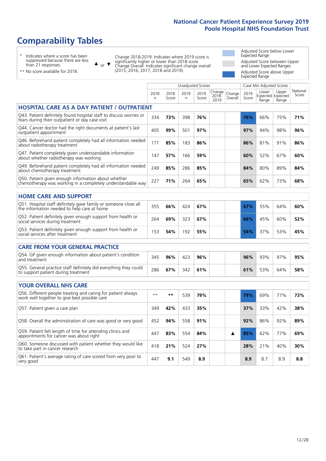# **Comparability Tables**

\* Indicates where a score has been suppressed because there are less than 21 responses.

\*\* No score available for 2018.

 $\triangle$  or  $\nabla$ 

Change 2018-2019: Indicates where 2019 score is significantly higher or lower than 2018 score Change Overall: Indicates significant change overall (2015, 2016, 2017, 2018 and 2019).

Adjusted Score below Lower Expected Range Adjusted Score between Upper and Lower Expected Ranges Adjusted Score above Upper Expected Range

|                                                                                                                       |              |               |            | <b>Unadjusted Scores</b> |                         |                   |               | Case Mix Adjusted Scores            |                |                   |
|-----------------------------------------------------------------------------------------------------------------------|--------------|---------------|------------|--------------------------|-------------------------|-------------------|---------------|-------------------------------------|----------------|-------------------|
|                                                                                                                       | 2018<br>n.   | 2018<br>Score | 2019<br>n. | 2019<br>Score            | Change<br>2018-<br>2019 | Change<br>Overall | 2019<br>Score | Lower<br>Expected Expected<br>Range | Upper<br>Range | National<br>Score |
| <b>HOSPITAL CARE AS A DAY PATIENT / OUTPATIENT</b>                                                                    |              |               |            |                          |                         |                   |               |                                     |                |                   |
| Q43. Patient definitely found hospital staff to discuss worries or<br>fears during their outpatient or day case visit | 334          | 73%           | 398        | 76%                      |                         |                   | 76%           | 66%                                 | 75%            | 71%               |
| Q44. Cancer doctor had the right documents at patient's last<br>outpatient appointment                                | 405          | 99%           | 501        | 97%                      |                         |                   | 97%           | 94%                                 | 98%            | 96%               |
| Q46. Beforehand patient completely had all information needed<br>about radiotherapy treatment                         | 171          | 85%           | 183        | 86%                      |                         |                   | 86%           | 81%                                 | 91%            | 86%               |
| Q47. Patient completely given understandable information<br>about whether radiotherapy was working                    | 147          | 57%           | 166        | 59%                      |                         |                   | 60%           | 52%                                 | 67%            | 60%               |
| Q49. Beforehand patient completely had all information needed<br>about chemotherapy treatment                         | 249          | 85%           | 286        | 85%                      |                         |                   | 84%           | 80%                                 | 89%            | 84%               |
| Q50. Patient given enough information about whether<br>chemotherapy was working in a completely understandable way    | 227          | 71%           | 264        | 65%                      |                         |                   | 65%           | 62%                                 | 73%            | 68%               |
| <b>HOME CARE AND SUPPORT</b>                                                                                          |              |               |            |                          |                         |                   |               |                                     |                |                   |
| Q51. Hospital staff definitely gave family or someone close all<br>the information needed to help care at home        | 355          | 66%           | 424        | 67%                      |                         |                   | 67%           | 55%                                 | 64%            | 60%               |
| Q52. Patient definitely given enough support from health or<br>social services during treatment                       | 264          | 69%           | 323        | 67%                      |                         |                   | 66%           | 45%                                 | 60%            | 52%               |
| Q53. Patient definitely given enough support from health or<br>social services after treatment                        | 153          | 54%           | 192        | 55%                      |                         |                   | 54%           | 37%                                 | 53%            | 45%               |
| CARE FROM YOUR GENERAL PRACTICE                                                                                       |              |               |            |                          |                         |                   |               |                                     |                |                   |
| Q54. GP given enough information about patient's condition<br>and treatment                                           | 345          | 96%           | 423        | 96%                      |                         |                   | 96%           | 93%                                 | 97%            | 95%               |
| Q55. General practice staff definitely did everything they could<br>to support patient during treatment               | 286          | 67%           | 342        | 61%                      |                         |                   | 61%           | 53%                                 | 64%            | 58%               |
| <b>YOUR OVERALL NHS CARE</b>                                                                                          |              |               |            |                          |                         |                   |               |                                     |                |                   |
| Q56. Different people treating and caring for patient always<br>work well together to give best possible care         | $\star\star$ | $\star\star$  | 539        | 79%                      |                         |                   | 79%           | 69%                                 | 77%            | 73%               |
| Q57. Patient given a care plan                                                                                        | 349          | 42%           | 433        | 35%                      |                         |                   | 37%           | 33%                                 | 42%            | 38%               |
| Q58. Overall the administration of care was good or very good                                                         | 452          | 94%           | 558        | 91%                      |                         |                   | 92%           | 86%                                 | 92%            | 89%               |
| Q59. Patient felt length of time for attending clinics and<br>appointments for cancer was about right                 | 447          | 83%           | 554        | 84%                      |                         | ▲                 | 85%           | 62%                                 | 77%            | 69%               |
| Q60. Someone discussed with patient whether they would like<br>to take part in cancer research                        | 418          | 21%           | 524        | 27%                      |                         |                   | 28%           | 21%                                 | 40%            | 30%               |
| Q61. Patient's average rating of care scored from very poor to<br>very good                                           | 447          | 9.1           | 549        | 8.9                      |                         |                   | 8.9           | 8.7                                 | 8.9            | 8.8               |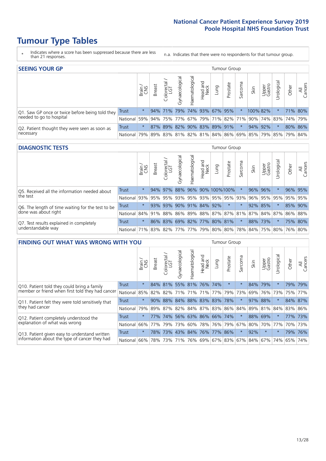# **Tumour Type Tables**

- \* Indicates where a score has been suppressed because there are less than 21 responses.
- n.a. Indicates that there were no respondents for that tumour group.

| <b>SEEING YOUR GP</b>                           |              |          |               |                             |                                     |                |                  |                     | Tumour Group |         |                                                     |                 |                |         |                |
|-------------------------------------------------|--------------|----------|---------------|-----------------------------|-------------------------------------|----------------|------------------|---------------------|--------------|---------|-----------------------------------------------------|-----------------|----------------|---------|----------------|
|                                                 |              | Brain    | <b>Breast</b> | Colorectal<br>LGT           | $\overline{\sigma}$<br>Gynaecologic | Haematological | Head and<br>Neck | Dung                | Prostate     | Sarcoma | Skin                                                | Upper<br>Gastro | ᅙ<br>Urologica | Other   | All<br>Cancers |
| Q1. Saw GP once or twice before being told they | <b>Trust</b> | $\star$  |               | 94% 71%                     |                                     |                |                  | 79% 74% 93% 67% 95% |              |         | 100% 82%                                            |                 |                | 71% 80% |                |
| needed to go to hospital                        | National     | 59%      |               |                             |                                     |                |                  |                     |              |         | 94% 75% 77% 67% 79% 71% 82% 71% 90% 74% 83% 74% 79% |                 |                |         |                |
| Q2. Patient thought they were seen as soon as   | Trust        | $^\star$ |               | 87% 89% 82% 90% 83% 89% 91% |                                     |                |                  |                     |              | $\star$ |                                                     | 94% 92%         | $\star$        | 80% 86% |                |
| necessary                                       | National     | 79%      |               |                             |                                     |                |                  |                     |              |         | 89% 83% 81% 82% 81% 84% 86% 69% 85% 79% 85% 79%     |                 |                |         | <u>84%</u>     |

### **DIAGNOSTIC TESTS** Tumour Group

|                                                   |                                                                  | Brain    | <b>Breast</b> | Colorectal<br>LGT | त्त<br>Gynaecologic | Haematological  | Head and<br>Neck | Lung                | Prostate          | Sarcoma | Skin | Upper<br>Gastro | Urological | Other | All<br>Cancers |
|---------------------------------------------------|------------------------------------------------------------------|----------|---------------|-------------------|---------------------|-----------------|------------------|---------------------|-------------------|---------|------|-----------------|------------|-------|----------------|
| Q5. Received all the information needed about     | <b>Trust</b>                                                     | $\star$  |               | 94% 97%           | 88%                 |                 |                  |                     | 96% 90% 100% 100% |         |      | 96% 96%         |            |       | 96% 95%        |
| the test                                          | National                                                         | 93%      | 95%           | 95%               | 93%                 |                 |                  |                     | 95% 93% 95% 95%   | 93%     | 96%  |                 | 95% 95%    |       | 95% 95%        |
| Q6. The length of time waiting for the test to be | Trust                                                            | $^\star$ |               | 93% 93%           |                     | 90% 91% 84% 92% |                  |                     | $\star$           | $\star$ | 92%  | 85%             | $\star$    |       | 85% 90%        |
| done was about right                              | National 84% 91% 88% 86% 89% 88% 87% 87% 81% 87% 84% 87% 86% 88% |          |               |                   |                     |                 |                  |                     |                   |         |      |                 |            |       |                |
| Q7. Test results explained in completely          | Trust                                                            | $\star$  |               | 86% 83%           |                     |                 |                  | 69% 82% 77% 80% 81% |                   | $\star$ | 88%  | 73%             |            |       | 75% 80%        |
| understandable way                                | National 71% 83% 82% 77% 77% 79% 80% 80% 78% 84% 75% 80% 76% 80% |          |               |                   |                     |                 |                  |                     |                   |         |      |                 |            |       |                |

| <b>FINDING OUT WHAT WAS WRONG WITH YOU</b>        |              |         |               |                        |                |                 |                  |      | <b>Tumour Group</b>     |         |      |                 |             |       |                |
|---------------------------------------------------|--------------|---------|---------------|------------------------|----------------|-----------------|------------------|------|-------------------------|---------|------|-----------------|-------------|-------|----------------|
|                                                   |              | Brain   | <b>Breast</b> | olorectal.<br>LGT<br>Ũ | Gynaecological | Haematological  | Head and<br>Neck | Lung | Prostate                | Sarcoma | Skin | Upper<br>Gastro | Jrological  | Other | All<br>Cancers |
| Q10. Patient told they could bring a family       | <b>Trust</b> | $\star$ | 84%           | 81%                    | 55%            | 81% 76%         |                  | 74%  | $\star$                 | $\star$ | 84%  | 79%             | $^\star$    | 79%   | 79%            |
| member or friend when first told they had cancer  | National     | 85%     | 82%           | 82%                    |                | 71% 71% 71%     |                  | 77%  | 79%                     | 73%     | 69%  | 76%             | 73%         | 75%   | 77%            |
| Q11. Patient felt they were told sensitively that | Trust        | $\star$ | 90%           | 88%                    | 84%            | 88% 83% 83% 78% |                  |      |                         | $\star$ | 97%  | 88%             | $\star$     |       | 84% 87%        |
| they had cancer                                   | National     | 79%     | 89% 87%       |                        |                |                 |                  |      | 82% 84% 87% 83% 86% 84% |         |      |                 | 89% 81% 84% |       | 83% 86%        |
| Q12. Patient completely understood the            | Trust        | $\star$ | 77%           | 74%                    |                | 56% 63% 86% 66% |                  |      | 174%                    | $\star$ | 88%  | 69%             | $^\star$    |       | 77% 73%        |
| explanation of what was wrong                     | National     | 66%     | 77%           | 79%                    | 73%            | 60%             | 78% 76%          |      | 79%                     | 67%     | 80%  | 70%             | 77%         | 70%   | 173%           |
| Q13. Patient given easy to understand written     | Trust        | $\star$ |               | 78% 73%                |                | 43% 84% 76% 77% |                  |      | 86%                     | $\star$ | 92%  | $\star$         | $^\star$    | 79%   | 76%            |
| information about the type of cancer they had     | National     | 66%     | 78%           | 73%                    |                |                 |                  |      | 71% 76% 69% 67% 83% 67% |         | 84%  |                 | 67%   74%   | 65%   | 74%            |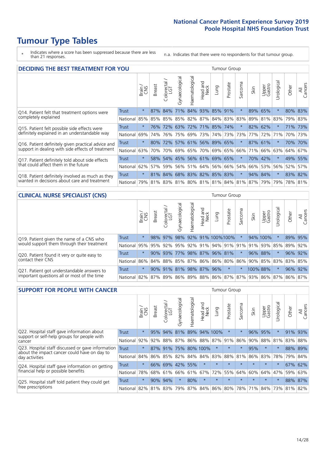# **Tumour Type Tables**

\* Indicates where a score has been suppressed because there are less than 21 responses.

n.a. Indicates that there were no respondents for that tumour group.

| <b>DECIDING THE BEST TREATMENT FOR YOU</b>         |              |         |               |                            |                |                |                        |                             | <b>Tumour Group</b> |              |                                     |                 |            |         |                |
|----------------------------------------------------|--------------|---------|---------------|----------------------------|----------------|----------------|------------------------|-----------------------------|---------------------|--------------|-------------------------------------|-----------------|------------|---------|----------------|
|                                                    |              | Brain   | <b>Breast</b> | olorectal<br>LGT<br>$\cup$ | Gynaecological | Haematological | ad and<br>Neck<br>Head | Lung                        | Prostate            | arcoma<br>vĀ | Skin                                | Upper<br>Gastro | Jrological | Other   | All<br>Cancers |
| Q14. Patient felt that treatment options were      | <b>Trust</b> | $\star$ | 87%           | 84%                        | 71%            |                |                        | 84% 93% 85%                 | 91%                 | $\star$      | 89%                                 | 65%             | $^\star$   | 80% 83% |                |
| completely explained                               | National     | 85%     | 85%           | 85%                        |                |                |                        | 85%   82%   87%   84%   83% |                     | 83%          | 89%                                 | 81% 83%         |            | 79% 83% |                |
| Q15. Patient felt possible side effects were       | Trust        | $\star$ | 76%           | 72%                        |                |                |                        | 63% 72% 71% 85% 74%         |                     |              | 82%                                 | 62%             |            |         | 71% 73%        |
| definitely explained in an understandable way      | National     | 69%     | 74%           | 76%                        |                | 75% 69% 73%    |                        |                             | 74% 73%             | 73%          | 77%                                 | 72%             | 71%        | 70%     | 73%            |
| Q16. Patient definitely given practical advice and | Trust        | $\star$ | 80%           | 72%                        |                |                |                        | 57% 61% 56% 89% 65%         |                     | $\star$      |                                     | 87% 61%         | $^\star$   |         | 70% 70%        |
| support in dealing with side effects of treatment  | National     | 63%     | 70%           | 70%                        |                |                |                        | 69% 65% 70% 69% 65%         |                     | 66%          | 71%                                 | 66%             | 63%        | 64% 67% |                |
| Q17. Patient definitely told about side effects    | Trust        | $\star$ | 58%           |                            |                |                |                        | 54% 45% 56% 61% 69% 65%     |                     | $\ast$       | 70%                                 | 42%             | $^\star$   | 49% 55% |                |
| that could affect them in the future               | National     | 62%     | 57%           | 59%                        |                |                |                        | 56% 51% 64% 56% 66%         |                     | 54%          | 66%                                 | 53%             | 56%        | 52%     | 57%            |
| Q18. Patient definitely involved as much as they   | Trust        | $\star$ |               |                            |                |                |                        | 81% 84% 68% 83% 82% 85% 83% |                     | $\ast$       |                                     | 94% 84%         | $\star$    | 83% 82% |                |
| wanted in decisions about care and treatment       | National     | 79%     |               |                            |                |                |                        |                             |                     |              | 81% 83% 81% 80% 81% 81% 84% 81% 87% | 79%             | 79%        | 78% 81% |                |

### **CLINICAL NURSE SPECIALIST (CNS)** Tumour Group

|                                             |          | Brain   | <b>Breast</b>         | olorectal<br>LGT<br>$\cup$ | aecologica<br>Š | $\overline{\sigma}$<br>Ü<br>aematologi | Head and<br>Neck | Lung              | Prostate | Sarcoma | Skin | Upper<br>Gastro                                     | $\sigma$<br>rologica                            | Other | All<br>ancers<br>$\cup$ |
|---------------------------------------------|----------|---------|-----------------------|----------------------------|-----------------|----------------------------------------|------------------|-------------------|----------|---------|------|-----------------------------------------------------|-------------------------------------------------|-------|-------------------------|
| Q19. Patient given the name of a CNS who    | Trust    | $\star$ | 98%                   | 97%                        | 98%             |                                        |                  | 92% 91% 100% 100% |          |         |      | 94% 100%                                            |                                                 |       | 89% 95%                 |
| would support them through their treatment  | National |         |                       |                            |                 |                                        |                  |                   |          |         |      | 95% 95% 92% 95% 92% 91% 94% 91% 91% 91% 91% 93% 85% |                                                 | 89%   | 92%                     |
| Q20. Patient found it very or quite easy to | Trust    | $\star$ |                       | 90% 93%                    | 77%             |                                        |                  | 98% 87% 96% 81%   |          | $\star$ |      | 96% 88%                                             |                                                 |       | 96% 92%                 |
| contact their CNS                           | National |         |                       |                            |                 |                                        |                  |                   |          |         |      |                                                     | 86% 84% 88% 85% 87% 86% 86% 80% 86% 90% 85% 83% | 83%   | 85%                     |
| Q21. Patient got understandable answers to  | Trust    | $\star$ | $90\%$                | 91%                        | 81%             |                                        | 98% 87%          | 96%               | $\star$  | $\ast$  |      | 100% 88%                                            | $\star$                                         | 96%   | 92%                     |
| important questions all or most of the time | National |         | 82%   87%   89%   86% |                            |                 |                                        |                  |                   |          |         |      |                                                     | 89% 88% 86% 87% 87% 93% 86% 87%                 | 86%   | 87%                     |

| <b>SUPPORT FOR PEOPLE WITH CANCER</b>                                                             |              |         |               |            |                |                |                        |             | Tumour Group |                  |         |                 |            |       |                |
|---------------------------------------------------------------------------------------------------|--------------|---------|---------------|------------|----------------|----------------|------------------------|-------------|--------------|------------------|---------|-----------------|------------|-------|----------------|
|                                                                                                   |              | Brain   | <b>Breast</b> | Colorectal | Gynaecological | Haematological | ad and<br>Neck<br>Head | <b>Dung</b> | Prostate     | arcoma<br>$\sim$ | Skin    | Upper<br>Gastro | Jrological | Other | All<br>Cancers |
| Q22. Hospital staff gave information about<br>support or self-help groups for people with         | <b>Trust</b> | $\star$ | 95%           | 94%        | 81%            | 89%            |                        | 94% 100%    | $\star$      | 头                | 96%     | 95%             | $\star$    | 91%   | 93%            |
| cancer                                                                                            | National     | 92%     | 92%           | 88%        | 87%            | 86%            | 88%                    | 87%         | 91%          | 86%              | 90%     | 88%             | 81%        | 83%   | 88%            |
| Q23. Hospital staff discussed or gave information<br>about the impact cancer could have on day to | Trust        | $\star$ | 87%           | 91%        | 75%            |                | 80% 100%               | $\star$     | $\star$      | $\star$          | 95%     | $\star$         | $\star$    |       | 88% 89%        |
| day activities                                                                                    | National     | 84%     |               | 86% 85%    | 82%            | 84%            | 84%                    | 83%         | 88%          | 81%              | 86%     | 83%             | 78%        | 79%   | 84%            |
| Q24. Hospital staff gave information on getting                                                   | Trust        | $\star$ | 66%           | 69%        | 42%            | 55%            | $\star$                | $\star$     | $\star$      | 大                | $\star$ | $\star$         | $\star$    | 67%   | 62%            |
| financial help or possible benefits                                                               | National     | 78%     |               | 68% 61%    | 66%            | 61%            | 67%                    | 72%         | 55%          | 64%              | 60%     | 64%             | 47%        | 59%   | 63%            |
| Q25. Hospital staff told patient they could get                                                   | Trust        | $\star$ |               | 90% 94%    | $\star$        | 80%            | $\star$                | $\star$     | $\star$      | 大                |         | $\star$         | $\star$    |       | 88% 87%        |
| free prescriptions                                                                                | National     | 82%     |               | 81% 83%    | 79%            | 87%            |                        | 84% 86% 80% |              | 78%              | 71%     | $ 84\% $        | 73%        | 81%   | 82%            |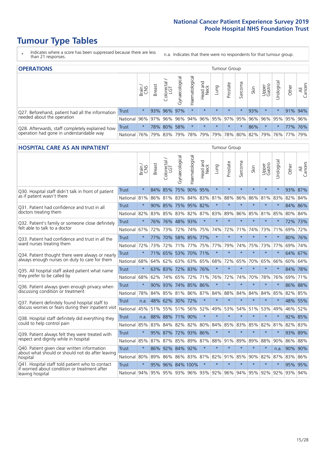# **Tumour Type Tables**

- \* Indicates where a score has been suppressed because there are less than 21 responses.
- n.a. Indicates that there were no respondents for that tumour group.

| <b>OPERATIONS</b>                                |              |            |               |                       |                    |                |                  |                                                 | Tumour Group |         |      |                 |            |                             |                |
|--------------------------------------------------|--------------|------------|---------------|-----------------------|--------------------|----------------|------------------|-------------------------------------------------|--------------|---------|------|-----------------|------------|-----------------------------|----------------|
|                                                  |              | Brain      | <b>Breast</b> | olorectal<br>LGT<br>Ü | ᠊ᢛ<br>Gynaecologic | Haematological | Head and<br>Neck | Lung                                            | Prostate     | Sarcoma | Skin | Upper<br>Gastro | Urological | Other                       | All<br>Cancers |
| Q27. Beforehand, patient had all the information | Trust        | $\star$    |               | 93% 96%               | 97%                | $\star$        | $\star$          | $\star$                                         | $\star$      | $\star$ | 93%  | $\star$         | $\star$    | 91% 94%                     |                |
| needed about the operation                       | National     | 96%        | 97%           | 96%                   |                    |                |                  | 96% 94% 96% 95% 97% 95% 96% 96% 95% 95% 95% 96% |              |         |      |                 |            |                             |                |
| Q28. Afterwards, staff completely explained how  | <b>Trust</b> | $\star$    |               | 78% 80%               | 58%                |                | $\star$          | $\star$                                         | $\star$      | $\star$ | 86%  | $\star$         | $\star$    |                             | 77% 76%        |
| operation had gone in understandable way         | National I   | <b>76%</b> |               | 79% 83%               |                    | 79% 78% 79%    |                  |                                                 |              |         |      |                 |            | 79% 78% 80% 82% 79% 76% 77% | 79%            |

#### **HOSPITAL CARE AS AN INPATIENT** Tumour Group

|                                                                                                  |              | Brain   | <b>Breast</b> | Colorectal /<br>LGT | Gynaecological | Haematological          | Head and<br>Neck | Lung    | Prostate | Sarcoma | Skin    | Upper<br>Gastro | Urological | Other   | Cancers<br>$\overline{\overline{z}}$ |
|--------------------------------------------------------------------------------------------------|--------------|---------|---------------|---------------------|----------------|-------------------------|------------------|---------|----------|---------|---------|-----------------|------------|---------|--------------------------------------|
| Q30. Hospital staff didn't talk in front of patient                                              | <b>Trust</b> | $\star$ | 84%           | 85%                 | 75%            | 90%                     | 95%              | $\star$ | $\star$  | $\star$ | $\star$ | $\star$         | $\star$    | 93% 87% |                                      |
| as if patient wasn't there                                                                       | National     | 81%     | 86%           | 81%                 | 83%            | 84% 83% 81%             |                  |         | 88%      | 86%     | 86%     | 81%             | 83%        | 82%     | 84%                                  |
| 031. Patient had confidence and trust in all                                                     | <b>Trust</b> | $\star$ |               | 90% 85%             |                | 75% 95% 82%             |                  | $\star$ | $\star$  | $\star$ | $\star$ | $\star$         | $\star$    | 84% 86% |                                      |
| doctors treating them                                                                            | National     | 82%     | 83%           | 85%                 | 83%            | 82%                     |                  | 87% 83% | 89%      | 86%     | 85%     | 81%             | 85%        | 80%     | 84%                                  |
| Q32. Patient's family or someone close definitely                                                | <b>Trust</b> | $\star$ | 76%           | 76%                 | 48% 93%        |                         | $\star$          | $\star$ | $\star$  | $\star$ | $\star$ | $\star$         | $\star$    | 72% 73% |                                      |
| felt able to talk to a doctor                                                                    | National     | 67%     | 72%           | 73%                 | 72%            | 74%                     | 75%              | 74%     | 72%      | 71%     | 74%     | 73%             | 71%        | 69%     | 72%                                  |
| Q33. Patient had confidence and trust in all the                                                 | <b>Trust</b> | $\star$ | 77%           | 70%                 |                | 58% 85% 77%             |                  | $\star$ | $\star$  | $\star$ | $\star$ | $\star$         | $\star$    | 80% 76% |                                      |
| ward nurses treating them                                                                        | National     | 72%     | 73%           | 72%                 |                | 71% 77% 75% 77%         |                  |         | 79%      | 74%     | 75%     |                 | 73% 77%    | 69% 74% |                                      |
| Q34. Patient thought there were always or nearly                                                 | <b>Trust</b> | $\star$ |               | 71% 65%             | 53%            | 70% 71%                 |                  | $\star$ | $\star$  | $\star$ | $\star$ | $\star$         | $\star$    | 64% 67% |                                      |
| always enough nurses on duty to care for them                                                    | National     | 68%     | 64%           | 62%                 | 63%            | 63%                     | 65%              | 68%     | 72%      | 65%     | 70%     | 65%             | 66%        | 60% 64% |                                      |
| Q35. All hospital staff asked patient what name                                                  | <b>Trust</b> | $\star$ |               | 63% 83%             |                | 72% 83% 76%             |                  | $\star$ | $\star$  | $\star$ | $\star$ | $\star$         | $\star$    | 84% 78% |                                      |
| they prefer to be called by                                                                      | National     | 68%     | 62%           | 74%                 | 65%            | 72%                     |                  | 71% 76% | 72%      | 74%     | 70%     | 78%             | 76%        | 69% 71% |                                      |
| Q36. Patient always given enough privacy when                                                    | <b>Trust</b> | $\star$ | 90%           | 93%                 | 74%            | 85% 86%                 |                  | $\star$ | $\star$  | $\star$ | $\star$ | $\star$         | $\star$    | 86% 88% |                                      |
| discussing condition or treatment                                                                | National     | 78%     | 84%           | 85%                 |                | 81% 86% 87% 84%         |                  |         | 88%      | 84%     | 84%     | 84%             | 85%        | 82% 85% |                                      |
| Q37. Patient definitely found hospital staff to                                                  | <b>Trust</b> | n.a.    | 48%           |                     | 62% 30% 72%    |                         | $\star$          | $\star$ | $\star$  | $\star$ | $\star$ | $\star$         | $\star$    | 48%     | 55%                                  |
| discuss worries or fears during their inpatient visit                                            | National     | 45%     |               |                     |                | 51% 55% 51% 56%         | 52%              | 49%     | 53%      | 54%     | 51%     | 53%             | 49%        | 46% 52% |                                      |
| Q38. Hospital staff definitely did everything they                                               | <b>Trust</b> | n.a.    |               | 88% 88% 71% 90%     |                |                         | $\star$          | $\star$ | $\star$  | $\star$ | $\star$ | $\star$         | $\star$    | 92% 85% |                                      |
| could to help control pain                                                                       | National     | 85%     | 83%           | 84%                 | 82%            | 82%                     | 80%              | 84%     | 85%      | 83%     | 85%     | 82%             | 81%        | 82%     | 83%                                  |
| Q39. Patient always felt they were treated with                                                  | Trust        | $\star$ | 95%           | 87%                 |                | 72% 93% 86%             |                  | $\star$ | $\star$  | $\star$ | $\star$ | $\star$         | $\star$    | 93%     | 89%                                  |
| respect and dignity while in hospital                                                            | National     | 85%     | 87% 87%       |                     | 85%            | 89% 87% 88%             |                  |         | 91%      | 89%     | 89%     | 88%             | 90%        | 86% 88% |                                      |
| Q40. Patient given clear written information<br>about what should or should not do after leaving | <b>Trust</b> | $\star$ | 86%           | 92%                 | 84%            | 92%                     | $\star$          | $\star$ | $\star$  | $\star$ | $\star$ | $\star$         | n.a.       | 90%     | 90%                                  |
| hospital                                                                                         | National     | 80%     | 89%           | 86%                 |                | 86% 83%                 |                  | 87% 82% | 91%      | 85%     | 90%     | 82%             | 87%        | 83%     | 86%                                  |
| Q41. Hospital staff told patient who to contact<br>if worried about condition or treatment after | <b>Trust</b> | $\star$ | 95%           |                     |                | 96% 84% 100%            | $\star$          | $\star$ | $\star$  | $\star$ | $\star$ |                 | $\star$    | 95%     | 95%                                  |
| leaving hospital                                                                                 | National     | 94%     |               |                     |                | 95% 95% 93% 96% 93% 92% |                  |         |          | 96% 94% |         | 95% 92%         | 92%        | 93% 94% |                                      |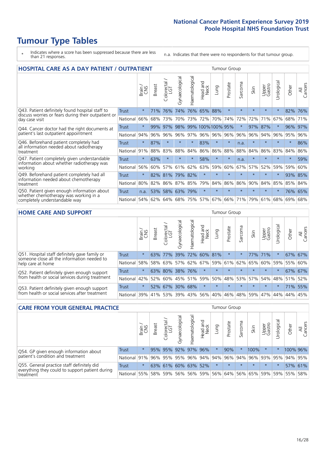# **Tumour Type Tables**

- \* Indicates where a score has been suppressed because there are less than 21 responses.
- n.a. Indicates that there were no respondents for that tumour group.

| <b>HOSPITAL CARE AS A DAY PATIENT / OUTPATIENT</b>                                                                    |              |         |               |                                   |                |                |                         |                   | <b>Tumour Group</b> |         |         |                 |            |          |                |  |  |  |  |  |  |  |
|-----------------------------------------------------------------------------------------------------------------------|--------------|---------|---------------|-----------------------------------|----------------|----------------|-------------------------|-------------------|---------------------|---------|---------|-----------------|------------|----------|----------------|--|--|--|--|--|--|--|
|                                                                                                                       |              | Brain   | <b>Breast</b> | ╮<br>olorectal /<br>LGT<br>$\cup$ | Gynaecological | Haematological | ead and<br>Neck<br>Head | Lung              | Prostate            | Sarcoma | Skin    | Upper<br>Gastro | Urological | Other    | All<br>Cancers |  |  |  |  |  |  |  |
| Q43. Patient definitely found hospital staff to                                                                       | <b>Trust</b> | $\star$ | 71%           | 76%                               | 74%            | 76%            | 65%                     | 88%               | $\star$             | $\star$ | $\star$ | $\star$         | $\star$    | 82%      | 76%            |  |  |  |  |  |  |  |
| discuss worries or fears during their outpatient or<br>day case visit                                                 | National     | 66%     | 68%           | 73%                               | 70%            | 73%            | 72%                     | 70%               | 74%                 | 72%     | 72%     | 71%             | 67%        | 68%      | 71%            |  |  |  |  |  |  |  |
| Q44. Cancer doctor had the right documents at<br>patient's last outpatient appointment                                | Trust        | $\star$ | 99%           | 97%                               | 98%            |                |                         | 99% 100% 100% 95% |                     | $\ast$  | 97%     | 87%             |            | 96%      | 97%            |  |  |  |  |  |  |  |
|                                                                                                                       | National     | 94%     | 96%           | 96%                               | 96%            | 97%            |                         | 96% 96%           | 96%                 | 96%     | 96%     | 94%             | 96%        | 95%      | 96%            |  |  |  |  |  |  |  |
| Q46. Beforehand patient completely had                                                                                | Trust        | $\star$ | 87%           | $\star$                           | $\star$        | $\star$        | 83%                     | $\star$           | $\star$             | n.a.    | 大       | $\star$         | $\star$    | $\star$  | 86%            |  |  |  |  |  |  |  |
| all information needed about radiotherapy<br>treatment                                                                | National     | 91%     | 88%           | 83%                               | 88%            | 84%            | 86%                     | 86%               | 88%                 | 88%     | 84%     | 86%             | 83%        | 84%      | 86%            |  |  |  |  |  |  |  |
| Q47. Patient completely given understandable<br>information about whether radiotherapy was<br>working                 | Trust        | $\star$ | 63%           | $\star$                           | $\star$        | $\star$        | 58%                     | $\star$           | $\star$             | n.a.    | $\star$ | $\star$         | $\star$    | $^\star$ | 59%            |  |  |  |  |  |  |  |
|                                                                                                                       | National     | 56%     | 60%           | 57%                               | 61%            | 62%            | 63%                     | 59%               | 60%                 | 67%     | 57%     | 52%             | 59%        | 59%      | 60%            |  |  |  |  |  |  |  |
| Q49. Beforehand patient completely had all                                                                            | <b>Trust</b> | $\star$ |               | 82% 81%                           | 79%            | 82%            | $\star$                 | $\star$           | $\star$             | $\star$ | $\star$ | $\star$         | $\star$    | 93%      | 85%            |  |  |  |  |  |  |  |
| information needed about chemotherapy<br>treatment                                                                    | National     | 80%     | 82%           | 86%                               | 87%            | 85%            | 79%                     | 84%               | 86%                 | 86%     | 90%     | 84%             | 85%        | 85%      | 84%            |  |  |  |  |  |  |  |
| Q50. Patient given enough information about<br>whether chemotherapy was working in a<br>completely understandable way | Trust        | n.a.    | 53%           | 58%                               | 63%            | 79%            | $\star$                 | $\star$           | $\star$             | $\star$ | 大       | $\star$         | $\star$    | 76%      | 65%            |  |  |  |  |  |  |  |
|                                                                                                                       | National     | 54%     |               | 62% 64% 68%                       |                | 75%            |                         | 57% 67%           | 66%                 | 71%     | 79%     | 61%             | 68%        | 69%      | 68%            |  |  |  |  |  |  |  |

### **HOME CARE AND SUPPORT** Tumour Group

|                                                                                                                   |              | Brain   | <b>Breast</b> | olorectal<br>LGT<br>Ü | त्त<br>Gynaecologic | Haematological | Head and<br>Neck | Lung                | Prostate | Sarcoma | Skin    | Upper<br>Gastro | Urological  | Other   | All<br>Cancers |
|-------------------------------------------------------------------------------------------------------------------|--------------|---------|---------------|-----------------------|---------------------|----------------|------------------|---------------------|----------|---------|---------|-----------------|-------------|---------|----------------|
| Q51. Hospital staff definitely gave family or<br>someone close all the information needed to<br>help care at home | <b>Trust</b> | $\star$ |               | 63% 77%               |                     |                | 39% 72% 60% 81%  |                     | $\star$  | *       | 77%     | 171%            | $\star$     | 67% 67% |                |
|                                                                                                                   | National     | 58%     |               | 58% 63%               |                     |                |                  | 57% 62% 67% 59% 61% |          | 62%     | 65%     | 60% 59%         |             | 55%     | 60%            |
| Q52. Patient definitely given enough support<br>from health or social services during treatment                   | Trust        | $\star$ |               | 63% 80%               |                     | 38% 76%        | $\star$          | $\star$             | $\star$  |         |         | $\star$         |             | 67% 67% |                |
|                                                                                                                   | National     | 42%     | 52%           | 60%                   |                     | 45% 51%        |                  | 59% 50% 48%         |          |         | 53% 57% |                 | 54% 48% 51% |         | 52%            |
| Q53. Patient definitely given enough support<br>from health or social services after treatment                    | Trust        | $\star$ |               | 52% 67%               | 30%                 | 68%            | $\star$          | $\star$             | $\star$  | $\star$ | $\star$ | $\star$         | $\star$     | 71%     | 55%            |
|                                                                                                                   | National     | 39%     | 41% 53%       |                       |                     | 39% 43%        | 56%              | 40%                 | 46%      | 48% 59% |         | 47%             | 44%         | 44%     | 45%            |

| <b>CARE FROM YOUR GENERAL PRACTICE</b>                                                                     |              |         |               |                     |                |                |                  |         | Tumour Group |         |                                                         |                 |           |          |                |  |  |  |  |  |
|------------------------------------------------------------------------------------------------------------|--------------|---------|---------------|---------------------|----------------|----------------|------------------|---------|--------------|---------|---------------------------------------------------------|-----------------|-----------|----------|----------------|--|--|--|--|--|
|                                                                                                            |              | Brain,  | <b>Breast</b> | Colorectal<br>LGT   | Gynaecological | Haematological | Head and<br>Neck | Lung    | Prostate     | Sarcoma | Skin                                                    | Upper<br>Gastro | Urologica | Other    | All<br>Cancers |  |  |  |  |  |
| Q54. GP given enough information about<br>patient's condition and treatment                                | Trust        | $\star$ |               | 95% 95%             |                | 92% 97% 96%    |                  | $\star$ | 90%          |         | 100%                                                    | $\star$         |           | 100% 96% |                |  |  |  |  |  |
|                                                                                                            | National 91% |         |               |                     |                |                |                  |         |              |         | 96% 95% 95% 96% 94% 94% 96% 94% 96% 93% 93% 95% 94% 95% |                 |           |          |                |  |  |  |  |  |
| Q55. General practice staff definitely did<br>everything they could to support patient during<br>treatment | Trust        | $\star$ |               | 63% 61% 60% 63% 52% |                |                |                  | $\star$ | $\star$      | $\star$ | $\star$                                                 | $\star$         | $\star$   | 57% 61%  |                |  |  |  |  |  |
|                                                                                                            | National     | 55%     |               | 58% 59%             |                | 56% 56% 59%    |                  |         |              |         | 56% 64% 56% 65% 59% 59% 55%                             |                 |           |          | 58%            |  |  |  |  |  |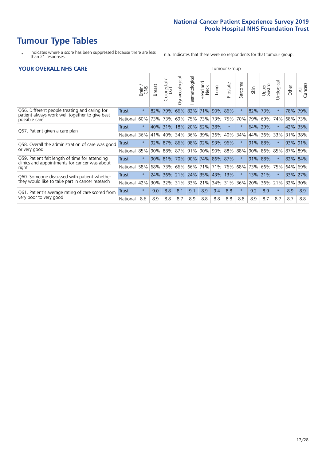# **Tumour Type Tables**

- \* Indicates where a score has been suppressed because there are less than 21 responses.
- n.a. Indicates that there were no respondents for that tumour group.

### **YOUR OVERALL NHS CARE** THE TWO CONTROLLER THE THE THROUP CHANGE THE TUMOUR GROUP

|                                                                                                                  |              | Brain   | <b>Breast</b> | Colorectal | Gynaecological | Haematological | aad and<br>Neck<br>Head | Lung    | Prostate | Sarcoma | Skin | Upper<br>Gastro | $\overline{c}$<br>Urologic | Other   | All<br>Cancers |  |  |  |  |  |  |  |
|------------------------------------------------------------------------------------------------------------------|--------------|---------|---------------|------------|----------------|----------------|-------------------------|---------|----------|---------|------|-----------------|----------------------------|---------|----------------|--|--|--|--|--|--|--|
| Q56. Different people treating and caring for<br>patient always work well together to give best<br>possible care | <b>Trust</b> | $\star$ | 82%           | 79%        | 66%            | 82%            | 71%                     | 90%     | 86%      | $\star$ | 82%  | 73%             |                            | 78%     | 79%            |  |  |  |  |  |  |  |
|                                                                                                                  | National     | 60%     |               | 73% 73%    | 69%            | 75%            | 73%                     | 73% 75% |          | 70%     | 79%  | 69%             | 74%                        | 68%     | 73%            |  |  |  |  |  |  |  |
| Q57. Patient given a care plan                                                                                   | <b>Trust</b> | $\star$ |               | 40% 31%    |                |                | 18% 20% 52%             | 38%     | $\star$  | $\star$ | 64%  | 29%             |                            | 42% 35% |                |  |  |  |  |  |  |  |
|                                                                                                                  | National     | 36%     | 41%           | 40%        | 34%            | 36%            | 39%                     | 36%     | 40%      | 34%     | 44%  | 36%             | 33%                        | 31%     | 38%            |  |  |  |  |  |  |  |
| Q58. Overall the administration of care was good                                                                 | Trust        | $\star$ | 92%           | 87%        | 86% 98%        |                | 92%                     | 93%     | 96%      | $\star$ | 91%  | 88%             |                            | 93%     | 91%            |  |  |  |  |  |  |  |
| or very good                                                                                                     | National     | 85%     |               | 90% 88%    |                | 87% 91%        | 90%                     |         | 90% 88%  | 88%     | 90%  | 86%             | 85%                        | 87% 89% |                |  |  |  |  |  |  |  |
| Q59. Patient felt length of time for attending                                                                   | Trust        | $\star$ |               | 90% 81%    | 70% 90%        |                | 74% 86% 87%             |         |          | $\star$ | 91%  | 88%             |                            | 82% 84% |                |  |  |  |  |  |  |  |
| clinics and appointments for cancer was about<br>right                                                           | National     | 58%     | 68%           | 73%        | 66%            | 66%            | 71%                     | 71%     | 76%      | 68%     | 73%  | 66%             | 75%                        | 64%     | 69%            |  |  |  |  |  |  |  |
| Q60. Someone discussed with patient whether                                                                      | Trust        | $\star$ | 24%           | 36%        |                |                | 21% 24% 35%             | 43%     | 13%      | $\star$ | 13%  | 21%             |                            | 33%     | 27%            |  |  |  |  |  |  |  |
| they would like to take part in cancer research                                                                  | National     | 42%     | 30%           | 32%        | 31%            | 33%            | 21%                     | 34%     | 31%      | 36%     | 20%  | 36%             | 21%                        | 32%     | 30%            |  |  |  |  |  |  |  |
| Q61. Patient's average rating of care scored from<br>very poor to very good                                      | Trust        | $\star$ | 9.0           | 8.8        | 8.1            | 9.1            | 8.9                     | 9.4     | 8.8      | $\star$ | 9.2  | 8.9             | $\star$                    | 8.9     | 8.9            |  |  |  |  |  |  |  |
|                                                                                                                  | National     | 8.6     | 8.9           | 8.8        | 8.7            | 8.9            | 8.8                     | 8.8     | 8.8      | 8.8     | 8.9  | 8.7             | 8.7                        | 8.7     | 8.8            |  |  |  |  |  |  |  |
|                                                                                                                  |              |         |               |            |                |                |                         |         |          |         |      |                 |                            |         |                |  |  |  |  |  |  |  |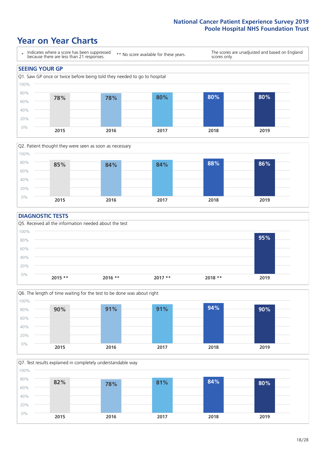### **Year on Year Charts**





### **DIAGNOSTIC TESTS**





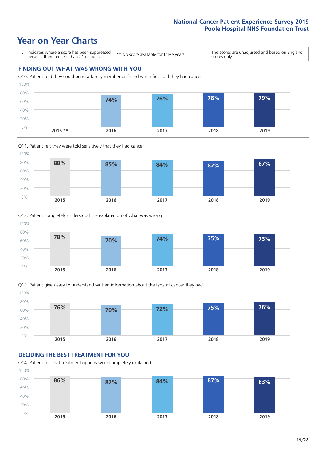### **Year on Year Charts**









# **DECIDING THE BEST TREATMENT FOR YOU**

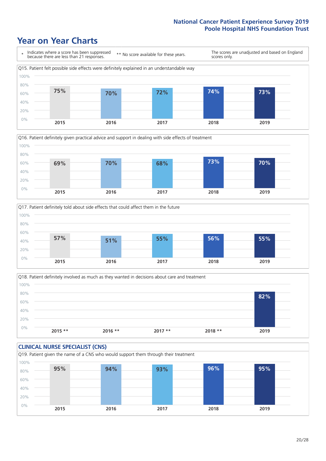### **Year on Year Charts**







Q18. Patient definitely involved as much as they wanted in decisions about care and treatment  $0%$ 20% 40% 60% 80% 100% **2015 \*\* 2016 \*\* 2017 \*\* 2018 \*\* 2019 82%**

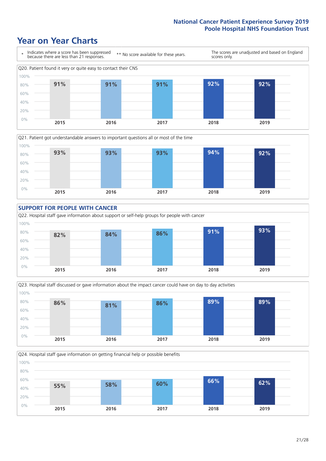### **Year on Year Charts**









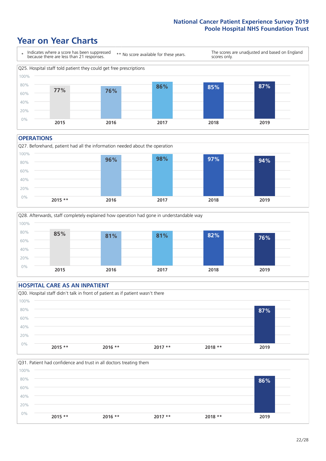### **Year on Year Charts**



#### **OPERATIONS**







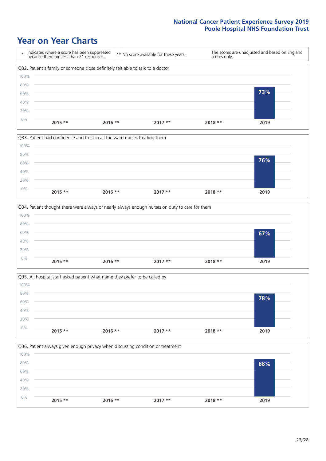### **Year on Year Charts**









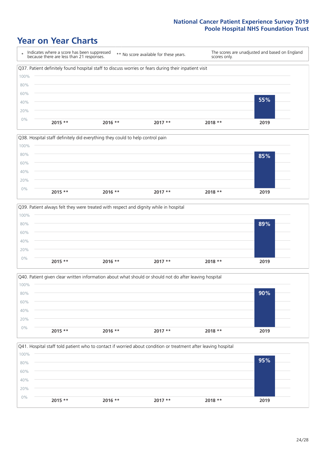### **Year on Year Charts**









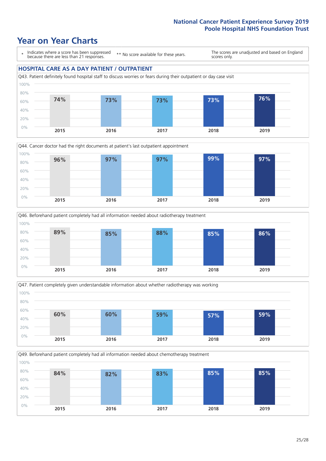### **Year on Year Charts**

\* Indicates where a score has been suppressed because there are less than 21 responses.

\*\* No score available for these years.

The scores are unadjusted and based on England scores only.

### **HOSPITAL CARE AS A DAY PATIENT / OUTPATIENT**









Q49. Beforehand patient completely had all information needed about chemotherapy treatment 100%

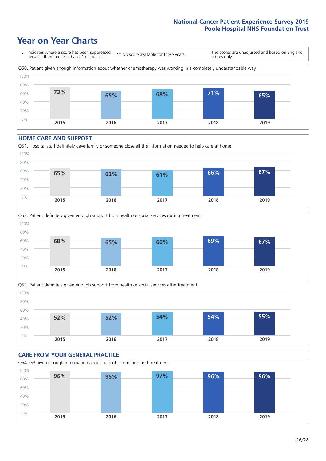### **Year on Year Charts**



#### **HOME CARE AND SUPPORT**







### **CARE FROM YOUR GENERAL PRACTICE** Q54. GP given enough information about patient's condition and treatment 0% 20% 40% 60% 80% 100% **2015 2016 2017 2018 2019 96% 95% 97% 96% 96%**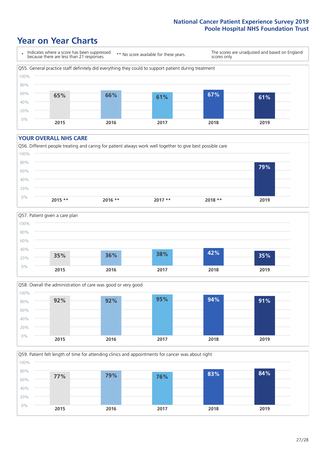### **Year on Year Charts**



#### **YOUR OVERALL NHS CARE**







Q59. Patient felt length of time for attending clinics and appointments for cancer was about right 0% 20% 40% 60% 80% 100% **2015 2016 2017 2018 2019 77% 79% 76% 83% 84%**